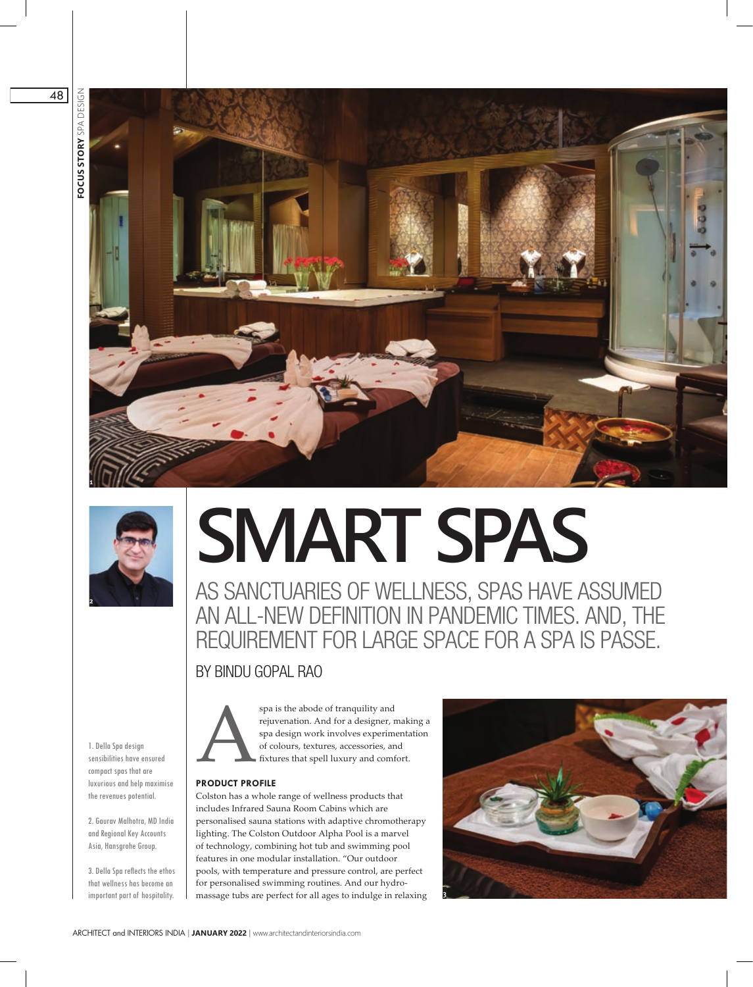



# **SMART SPAS**

AS SANCTUARIES OF WELLNESS, SPAS HAVE ASSUMED AN ALL-NEW DEFINITION IN PANDEMIC TIMES. AND, THE REQUIREMENT FOR LARGE SPACE FOR A SPA IS PASSE.

# BY BINDU GOPAL RAO

1. Della Spa design sensibilities have ensured compact spas that are luxurious and help maximise the revenues potential.

2. Gaurav Malhotra, MD India and Regional Key Accounts Asia, Hansgrohe Group.

3. Della Spa reflects the ethos that wellness has become an

spa is the abode of tranquility and<br>rejuvenation. And for a designer, n<br>spa design work involves experime<br>of colours, textures, accessories, an<br>fixtures that spell luxury and comf rejuvenation. And for a designer, making a spa design work involves experimentation of colours, textures, accessories, and fixtures that spell luxury and comfort.

# **PRODUCT PROFILE**

important part of hospitality.  $\parallel$  massage tubs are perfect for all ages to indulge in relaxing **E** Colston has a whole range of wellness products that includes Infrared Sauna Room Cabins which are personalised sauna stations with adaptive chromotherapy lighting. The Colston Outdoor Alpha Pool is a marvel of technology, combining hot tub and swimming pool features in one modular installation. "Our outdoor pools, with temperature and pressure control, are perfect for personalised swimming routines. And our hydro-



48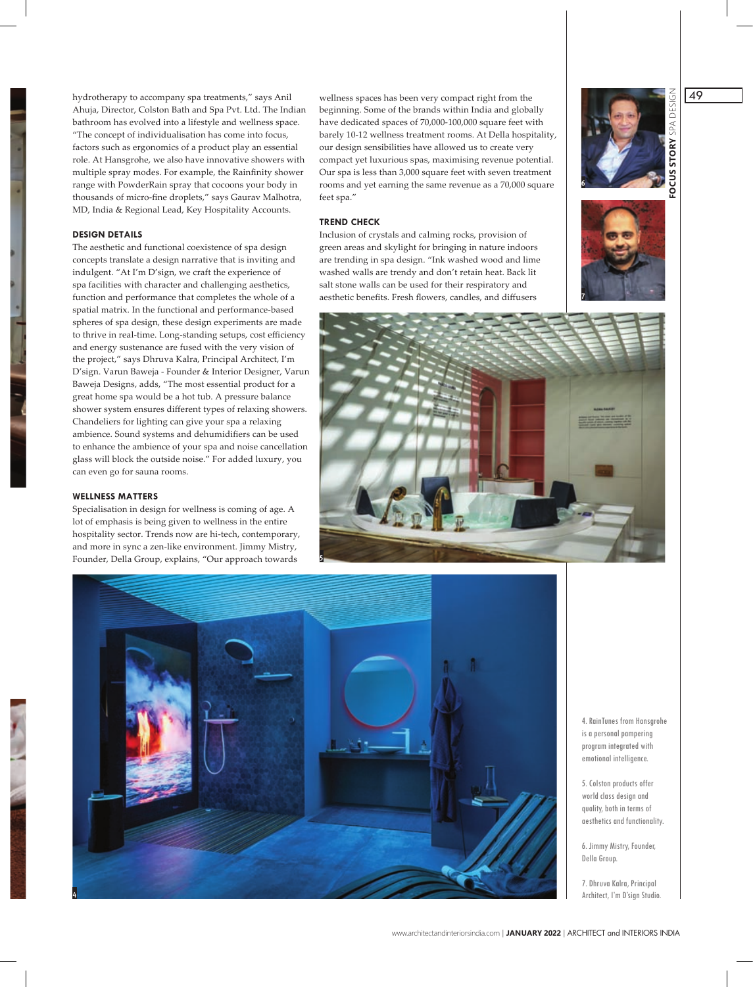hydrotherapy to accompany spa treatments," says Anil Ahuja, Director, Colston Bath and Spa Pvt. Ltd. The Indian bathroom has evolved into a lifestyle and wellness space. "The concept of individualisation has come into focus, factors such as ergonomics of a product play an essential role. At Hansgrohe, we also have innovative showers with multiple spray modes. For example, the Rainfinity shower range with PowderRain spray that cocoons your body in thousands of micro-fine droplets," says Gaurav Malhotra, MD, India & Regional Lead, Key Hospitality Accounts.

### **DESIGN DETAILS**

The aesthetic and functional coexistence of spa design concepts translate a design narrative that is inviting and indulgent. "At I'm D'sign, we craft the experience of spa facilities with character and challenging aesthetics, function and performance that completes the whole of a spatial matrix. In the functional and performance-based spheres of spa design, these design experiments are made to thrive in real-time. Long-standing setups, cost efficiency and energy sustenance are fused with the very vision of the project," says Dhruva Kalra, Principal Architect, I'm D'sign. Varun Baweja - Founder & Interior Designer, Varun Baweja Designs, adds, "The most essential product for a great home spa would be a hot tub. A pressure balance shower system ensures different types of relaxing showers. Chandeliers for lighting can give your spa a relaxing ambience. Sound systems and dehumidifiers can be used to enhance the ambience of your spa and noise cancellation glass will block the outside noise." For added luxury, you can even go for sauna rooms.

### **WELLNESS MATTERS**

Specialisation in design for wellness is coming of age. A lot of emphasis is being given to wellness in the entire hospitality sector. Trends now are hi-tech, contemporary, and more in sync a zen-like environment. Jimmy Mistry, Founder, Della Group, explains, "Our approach towards

wellness spaces has been very compact right from the beginning. Some of the brands within India and globally have dedicated spaces of 70,000-100,000 square feet with barely 10-12 wellness treatment rooms. At Della hospita beginning. Some of the brands within India and globally have dedicated spaces of 70,000-100,000 square feet with barely 10-12 wellness treatment rooms. At Della hospitality, our design sensibilities have allowed us to create very compact yet luxurious spas, maximising revenue potential. Our spa is less than 3,000 square feet with seven treatment rooms and yet earning the same revenue as a 70,000 square feet spa."

### **TREND CHECK**

Inclusion of crystals and calming rocks, provision of green areas and skylight for bringing in nature indoors are trending in spa design. "Ink washed wood and lime washed walls are trendy and don't retain heat. Back lit salt stone walls can be used for their respiratory and aesthetic benefits. Fresh flowers, candles, and diffusers









4. RainTunes from Hansgrohe is a personal pampering program integrated with emotional intelligence.

5. Colston products offer world class design and quality, both in terms of aesthetics and functionality.

6. Jimmy Mistry, Founder, Della Group.

7. Dhruva Kalra, Principal Architect, I'm D'sign Studio. **4**